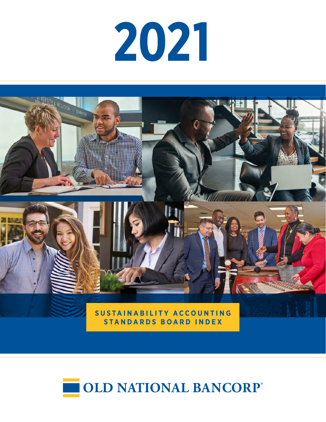# 



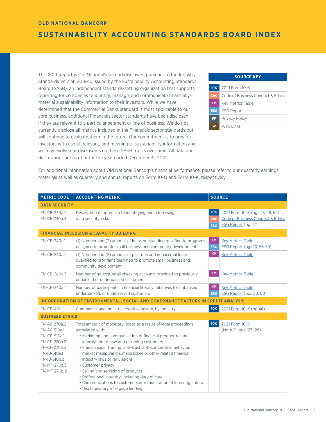## **SUSTAINABILITY ACCOUNTING STANDARDS BOARD INDEX**

This 2021 Report is Old National's second disclosure pursuant to the Industry Standards Version 2018-10 issued by the Sustainability Accounting Standards Board (SASB), an independent standards-setting organization that supports reporting for companies to identify, manage, and communicate financiallymaterial sustainability information to their investors. While we have determined that the Commercial Banks standard is most applicable to our core business, additional Financials sector standards have been disclosed if they are relevant to a particular segment or line of business. We do not currently disclose all metrics included in the Financials sector standards but will continue to evaluate them in the future. Our commitment is to provide investors with useful, relevant, and meaningful sustainability information and we may evolve our disclosures on these SASB topics over time. All data and descriptions are as of or for the year ended December 31, 2021.

### **10K** 2021 Form 10-K **CoC** Code of Business Conduct & Ethics **KM** Key Metrics Table **ESG** ESG Report **PP** Privacy Policy **W** Web Links **SOURCE KEY**

For additional information about Old National Bancorp's financial performance, please refer to our quarterly earnings materials as well as quarterly and annual reports on Form 10-Q and Form 10-K, respectively.

| <b>METRIC CODE</b>                                                                                                                           | <b>ACCOUNTING METRIC</b>                                                                                                                                                                                                                                                                                                                                                                                                                                                                                                                                                                       |                          | <b>SOURCE</b>                                                                             |
|----------------------------------------------------------------------------------------------------------------------------------------------|------------------------------------------------------------------------------------------------------------------------------------------------------------------------------------------------------------------------------------------------------------------------------------------------------------------------------------------------------------------------------------------------------------------------------------------------------------------------------------------------------------------------------------------------------------------------------------------------|--------------------------|-------------------------------------------------------------------------------------------|
| <b>DATA SECURITY</b>                                                                                                                         |                                                                                                                                                                                                                                                                                                                                                                                                                                                                                                                                                                                                |                          |                                                                                           |
| FN-CB-230a.2<br>FN-CF-230a.3                                                                                                                 | Description of approach to identifying and addressing<br>data security risks                                                                                                                                                                                                                                                                                                                                                                                                                                                                                                                   | 10K<br>CoC<br><b>ESG</b> | 2021 Form 10-K (pgs 25-26, 62)<br>Code of Business Conduct & Ethics<br>ESG Report (pg 22) |
|                                                                                                                                              | <b>FINANCIAL INCLUSION &amp; CAPACITY BUILDING</b>                                                                                                                                                                                                                                                                                                                                                                                                                                                                                                                                             |                          |                                                                                           |
| FN-CB-240a.1                                                                                                                                 | (1) Number and (2) amount of loans outstanding qualified to programs<br>designed to promote small business and community development                                                                                                                                                                                                                                                                                                                                                                                                                                                           | <b>KM</b><br><b>ESG</b>  | <b>Key Metrics Table</b><br>ESG Report (pgs 10, 58-59)                                    |
| FN-CB-240a.2                                                                                                                                 | (1) Number and (2) amount of past due and nonaccrual loans<br>qualified to programs designed to promote small business and<br>community development                                                                                                                                                                                                                                                                                                                                                                                                                                            | <b>KM</b>                | <b>Key Metrics Table</b>                                                                  |
| FN-CB-240a.3                                                                                                                                 | Number of no-cost retail checking accounts provided to previously<br>unbanked or underbanked customers                                                                                                                                                                                                                                                                                                                                                                                                                                                                                         | <b>KM</b>                | <b>Key Metrics Table</b>                                                                  |
| FN-CB-240a.4                                                                                                                                 | Number of participants in financial literacy initiatives for unbanked,<br>underbanked, or underserved customers                                                                                                                                                                                                                                                                                                                                                                                                                                                                                | <b>KM</b><br><b>ESG</b>  | <b>Key Metrics Table</b><br>ESG Report (pgs 50, 60)                                       |
|                                                                                                                                              | <b>INCORPORATION OF ENVIRONMENTAL, SOCIAL AND GOVERNANCE FACTORS IN CREDIT ANALYSIS</b>                                                                                                                                                                                                                                                                                                                                                                                                                                                                                                        |                          |                                                                                           |
| FN-CB-410a.1                                                                                                                                 | Commercial and industrial credit exposure, by industry                                                                                                                                                                                                                                                                                                                                                                                                                                                                                                                                         | 10K                      | 2021 Form 10-K (pg 46)                                                                    |
| <b>BUSINESS ETHICS</b>                                                                                                                       |                                                                                                                                                                                                                                                                                                                                                                                                                                                                                                                                                                                                |                          |                                                                                           |
| FN-AC-270a.2<br>FN-AC-510a.1<br>FN-CB-510a.1<br>FN-CF-220a.2<br>FN-CF-270a.5<br>FN-IB-510a.1<br>FN-IB-510b.3<br>FN-MF-270a.3<br>FN-MF-270b.2 | Total amount of monetary losses as a result of legal proceedings<br>associated with:<br>• Marketing and communication of financial product-related<br>information to new and returning customers<br>• Fraud, insider trading, anti-trust, anti-competitive behavior,<br>market manipulation, malpractice or other related financial<br>industry laws or regulations<br>• Customer privacy<br>• Selling and servicing of products<br>• Professional integrity, including duty of care<br>• Communications to customers or remuneration of loan originators<br>· Discriminatory mortgage lending | 10K                      | 2021 Form 10-K<br>(Note 21, pgs 127-128)                                                  |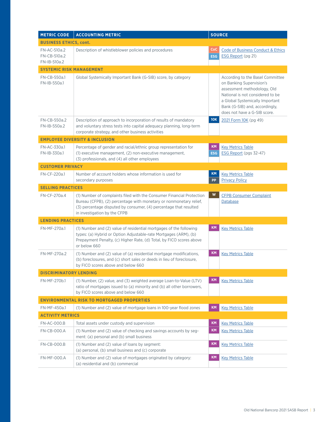| <b>METRIC CODE</b>                           | <b>ACCOUNTING METRIC</b>                                                                                                                                                                                                                         | <b>SOURCE</b>           |                                                                                                                                                                                                                                      |
|----------------------------------------------|--------------------------------------------------------------------------------------------------------------------------------------------------------------------------------------------------------------------------------------------------|-------------------------|--------------------------------------------------------------------------------------------------------------------------------------------------------------------------------------------------------------------------------------|
| <b>BUSINESS ETHICS, cont.</b>                |                                                                                                                                                                                                                                                  |                         |                                                                                                                                                                                                                                      |
| FN-AC-510a.2<br>FN-CB-510a.2<br>FN-IB-510a.2 | Description of whistleblower policies and procedures                                                                                                                                                                                             | CoC<br><b>ESG</b>       | <b>Code of Business Conduct &amp; Ethics</b><br>ESG Report (pg 21)                                                                                                                                                                   |
| <b>SYSTEMIC RISK MANAGEMENT</b>              |                                                                                                                                                                                                                                                  |                         |                                                                                                                                                                                                                                      |
| FN-CB-550a.1<br>FN-IB-550a.1                 | Global Systemically Important Bank (G-SIB) score, by category                                                                                                                                                                                    |                         | According to the Basel Committee<br>on Banking Supervision's<br>assessment methodology, Old<br>National is not considered to be<br>a Global Systemically Important<br>Bank (G-SIB) and, accordingly,<br>does not have a G-SIB score. |
| FN-CB-550a.2<br>FN-IB-550a.2                 | Description of approach to incorporation of results of mandatory<br>and voluntary stress tests into capital adequacy planning, long-term<br>corporate strategy, and other business activities                                                    | <b>10K</b>              | 2021 Form 10K (pg 49)                                                                                                                                                                                                                |
|                                              | <b>EMPLOYEE DIVERSITY &amp; INCLUSION</b>                                                                                                                                                                                                        |                         |                                                                                                                                                                                                                                      |
| FN-AC-330a.1<br>FN-IB-330a.1                 | Percentage of gender and racial/ethnic group representation for<br>(1) executive management, (2) non-executive management,<br>(3) professionals, and (4) all other employees                                                                     | <b>KM</b><br><b>ESG</b> | <b>Key Metrics Table</b><br>ESG Report (pgs 32-47)                                                                                                                                                                                   |
| <b>CUSTOMER PRIVACY</b>                      |                                                                                                                                                                                                                                                  |                         |                                                                                                                                                                                                                                      |
| FN-CF-220a.1                                 | Number of account holders whose information is used for<br>secondary purposes                                                                                                                                                                    | <b>KM</b><br><b>PP</b>  | <b>Key Metrics Table</b><br><b>Privacy Policy</b>                                                                                                                                                                                    |
| <b>SELLING PRACTICES</b>                     |                                                                                                                                                                                                                                                  |                         |                                                                                                                                                                                                                                      |
| FN-CF-270a.4                                 | (1) Number of complaints filed with the Consumer Financial Protection<br>Bureau (CFPB), (2) percentage with monetary or nonmonetary relief,<br>(3) percentage disputed by consumer, (4) percentage that resulted<br>in investigation by the CFPB | W                       | <b>CFPB Consumer Complaint</b><br>Database                                                                                                                                                                                           |
| <b>LENDING PRACTICES</b>                     |                                                                                                                                                                                                                                                  |                         |                                                                                                                                                                                                                                      |
| FN-MF-270a.1                                 | (1) Number and (2) value of residential mortgages of the following<br>types: (a) Hybrid or Option Adjustable-rate Mortgages (ARM), (b)<br>Prepayment Penalty, (c) Higher Rate, (d) Total, by FICO scores above<br>or below 660                   | <b>KM</b>               | <b>Key Metrics Table</b>                                                                                                                                                                                                             |
| FN-MF-270a.2                                 | (1) Number and (2) value of (a) residential mortgage modifications,<br>(b) foreclosures, and (c) short sales or deeds in lieu of foreclosure,<br>by FICO scores above and below 660                                                              | <b>KM</b>               | <b>Key Metrics Table</b>                                                                                                                                                                                                             |
| <b>DISCRIMINATORY LENDING</b>                |                                                                                                                                                                                                                                                  |                         |                                                                                                                                                                                                                                      |
| FN-MF-270b.1                                 | (1) Number, (2) value, and (3) weighted average Loan-to-Value (LTV)<br>ratio of mortgages issued to (a) minority and (b) all other borrowers,<br>by FICO scores above and below 660                                                              | <b>KM</b>               | <b>Key Metrics Table</b>                                                                                                                                                                                                             |
|                                              | <b>ENVIRONMENTAL RISK TO MORTGAGED PROPERTIES</b>                                                                                                                                                                                                |                         |                                                                                                                                                                                                                                      |
| FN-MF-450a.1                                 | (1) Number and (2) value of mortgage loans in 100-year flood zones                                                                                                                                                                               | <b>KM</b>               | <b>Key Metrics Table</b>                                                                                                                                                                                                             |
| <b>ACTIVITY METRICS</b>                      |                                                                                                                                                                                                                                                  |                         |                                                                                                                                                                                                                                      |
| <b>FN-AC-000.B</b>                           | Total assets under custody and supervision                                                                                                                                                                                                       | <b>KM</b>               | <b>Key Metrics Table</b>                                                                                                                                                                                                             |
| <b>FN-CB-000.A</b>                           | (1) Number and (2) value of checking and savings accounts by seg-<br>ment: (a) personal and (b) small business                                                                                                                                   | <b>KM</b>               | <b>Key Metrics Table</b>                                                                                                                                                                                                             |
| <b>FN-CB-000.B</b>                           | (1) Number and (2) value of loans by segment:<br>(a) personal, (b) small business and (c) corporate                                                                                                                                              | <b>KM</b>               | <b>Key Metrics Table</b>                                                                                                                                                                                                             |
| <b>FN-MF-000.A</b>                           | (1) Number and (2) value of mortgages originated by category:<br>(a) residential and (b) commercial                                                                                                                                              | <b>KM</b>               | <b>Key Metrics Table</b>                                                                                                                                                                                                             |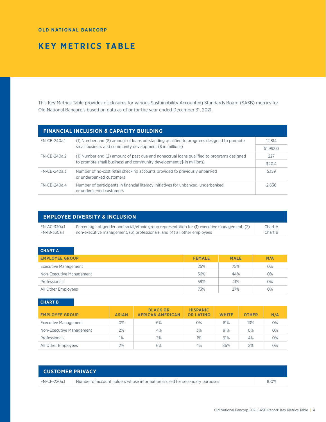#### <span id="page-3-0"></span>**OLD NATIONAL BANCORP**

# **KEY METRICS TABLE**

This Key Metrics Table provides disclosures for various Sustainability Accounting Standards Board (SASB) metrics for Old National Bancorp's based on data as of or for the year ended December 31, 2021.

|              | <b>FINANCIAL INCLUSION &amp; CAPACITY BUILDING</b>                                                              |        |  |  |
|--------------|-----------------------------------------------------------------------------------------------------------------|--------|--|--|
| FN-CB-240a.1 | (1) Number and (2) amount of loans outstanding qualified to programs designed to promote                        | 12.814 |  |  |
|              | small business and community development (\$ in millions)                                                       |        |  |  |
| FN-CB-240a.2 | (1) Number and (2) amount of past due and nonaccrual loans qualified to programs designed                       |        |  |  |
|              | to promote small business and community development (\$ in millions)                                            |        |  |  |
| FN-CB-240a.3 | Number of no-cost retail checking accounts provided to previously unbanked<br>or underbanked customers          | 5.159  |  |  |
| FN-CB-240a.4 | Number of participants in financial literacy initiatives for unbanked, underbanked,<br>or underserved customers | 2.636  |  |  |

|              | <b>EMPLOYEE DIVERSITY &amp; INCLUSION</b>                                                     |         |
|--------------|-----------------------------------------------------------------------------------------------|---------|
| FN-AC-330a.1 | Percentage of gender and racial/ethnic group representation for (1) executive management, (2) | Chart A |
| FN-IB-330a.1 | non-executive management, (3) professionals, and (4) all other employees                      | Chart B |

# **CHART A**

| <b>EMPLOYEE GROUP</b>       | <b>FEMALE</b> | <b>MALE</b> | N/A   |
|-----------------------------|---------------|-------------|-------|
| <b>Executive Management</b> | 25%           | 75%         | 0%    |
| Non-Executive Management    | 56%           | 44%         | $0\%$ |
| Professionals               | 59%           | 41%         | $O\%$ |
| All Other Employees         | 73%           | 27%         | 0%    |

**CHART B**

| <b>EMPLOYEE GROUP</b>    | <b>ASIAN</b> | <b>BLACK OR</b><br><b>AFRICAN AMERICAN</b> | <b>HISPANIC</b><br><b>OR LATINO</b> | <b>WHITE</b> | <b>OTHER</b> | N/A |
|--------------------------|--------------|--------------------------------------------|-------------------------------------|--------------|--------------|-----|
| Executive Management     | 0%           | 6%                                         | $0\%$                               | 81%          | 13%          | 0%  |
| Non-Executive Management | 2%           | 4%                                         | 3%                                  | 91%          | $0\%$        | 0%  |
| Professionals            | $1\%$        | 3%                                         | 1%                                  | 91%          | 4%           | 0%  |
| All Other Employees      | 2%           | 6%                                         | 4%                                  | 86%          | 2%           | 0%  |

| <b>CUSTOMER PRIVACY</b> |                                                                            |      |
|-------------------------|----------------------------------------------------------------------------|------|
| FN-CF-220a.1            | Number of account holders whose information is used for secondary purposes | 100% |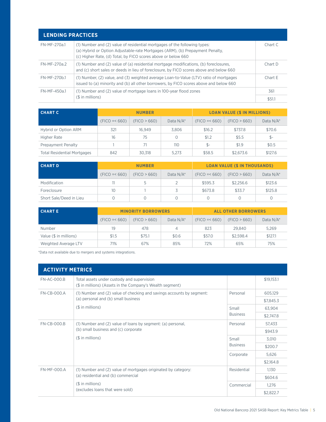<span id="page-4-0"></span>

| <b>LENDING PRACTICES</b> |                                                                                                                                                                                                                             |           |
|--------------------------|-----------------------------------------------------------------------------------------------------------------------------------------------------------------------------------------------------------------------------|-----------|
| FN-MF-270a.1             | (1) Number and (2) value of residential mortgages of the following types:<br>(a) Hybrid or Option Adjustable-rate Mortgages (ARM), (b) Prepayment Penalty,<br>(c) Higher Rate, (d) Total, by FICO scores above or below 660 | Chart C   |
| $FN-MF-270a.2$           | (1) Number and (2) value of (a) residential mortgage modifications, (b) foreclosures,<br>and (c) short sales or deeds in lieu of foreclosure, by FICO scores above and below 660                                            | $Charf$ D |
| FN-MF-270b.1             | (1) Number, (2) value, and (3) weighted average Loan-to-Value (LTV) ratio of mortgages<br>issued to (a) minority and (b) all other borrowers, by FICO scores above and below 660                                            | CharF     |
| FN-MF-450a1              | (1) Number and (2) value of mortgage loans in 100-year flood zones                                                                                                                                                          | 361       |
|                          | $($$ in millions)                                                                                                                                                                                                           | \$51.1    |

| <b>CHART C</b>                     | <b>NUMBER</b>  |              |              | <b>LOAN VALUE (\$ IN MILLIONS)</b> |              |           |  |
|------------------------------------|----------------|--------------|--------------|------------------------------------|--------------|-----------|--|
|                                    | $(FIGO = 660)$ | (FIGO > 660) | Data $N/A^*$ | $(FIGO = < 660)$                   | (FIGO > 660) | Data N/A* |  |
| Hybrid or Option ARM               | 321            | 16.949       | 3.806        | \$16.2                             | \$737.8      | \$70.6    |  |
| Higher Rate                        | 16             | 75           |              | \$1.2                              | \$5.5        | $$-$      |  |
| Prepayment Penalty                 |                | 71           | 110          | $S-$                               | \$1.9        | \$0.5     |  |
| <b>Total Residential Mortgages</b> | 842            | 30,318       | 5.273        | \$58.5                             | \$2,673.6    | \$127.6   |  |

| <b>CHART D</b>          | <b>NUMBER</b>  |              |              | <b>LOAN VALUE (\$ IN THOUSANDS)</b> |              |           |
|-------------------------|----------------|--------------|--------------|-------------------------------------|--------------|-----------|
|                         | $(FIGO = 660)$ | (FIGO > 660) | Data $N/A^*$ | $(FIGO = 660)$                      | (FIGO > 660) | Data N/A* |
| Modification            |                |              |              | \$595.3                             | \$2,256.6    | \$123.6   |
| Foreclosure             | 10             |              |              | \$673.8                             | \$33.7       | \$125.8   |
| Short Sale/Deed in Lieu |                |              |              |                                     |              |           |

| <b>CHARTE</b>          | <b>MINORITY BORROWERS</b> |              |              | <b>ALL OTHER BORROWERS</b> |              |           |
|------------------------|---------------------------|--------------|--------------|----------------------------|--------------|-----------|
|                        | $(FIGO = 660)$            | (FIGO > 660) | Data $N/A^*$ | $(FIGO = < 660)$           | (FIGO > 660) | Data N/A* |
| Number                 | 19                        | 478          |              | 823                        | 29,840       | 5,269     |
| Value (\$ in millions) | \$1.5                     | \$75.1       | \$0.6        | \$57.0                     | \$2.598.4    | \$127.1   |
| Weighted Average LTV   | 71%                       | 67%          | 85%          | 72%                        | 65%          | 75%       |

\*Data not available due to mergers and systems integrations.

| <b>ACTIVITY METRICS</b> |                                                                                                                          |                 |            |
|-------------------------|--------------------------------------------------------------------------------------------------------------------------|-----------------|------------|
| <b>FN-AC-000.B</b>      | Total assets under custody and supervision<br>(\$ in millions) (Assets in the Company's Wealth segment)                  |                 | \$19,153.1 |
| $FN-CR-000.A$           | (1) Number and (2) value of checking and savings accounts by segment:                                                    | Personal        | 605,129    |
|                         | (a) personal and (b) small business                                                                                      |                 | \$7,845.3  |
|                         | $($$ in millions)                                                                                                        | Small           | 63.904     |
|                         |                                                                                                                          | <b>Business</b> | \$2,747.8  |
| <b>FN-CB-000.B</b>      | (1) Number and (2) value of loans by segment: (a) personal,<br>(b) small business and (c) corporate<br>$($$ in millions) | Personal        | 57,433     |
|                         |                                                                                                                          |                 | \$943.9    |
|                         |                                                                                                                          | Small           | 3,010      |
|                         |                                                                                                                          | <b>Business</b> | \$200.7    |
|                         |                                                                                                                          | Corporate       | 5,626      |
|                         |                                                                                                                          |                 | \$2,164.8  |
| <b>FN-MF-000.A</b>      | (1) Number and (2) value of mortgages originated by category:                                                            | Residential     | 1.130      |
|                         | (a) residential and (b) commercial                                                                                       |                 | \$604.6    |
|                         | $($$ in millions)                                                                                                        | Commercial      | 1,276      |
|                         | (excludes loans that were sold)                                                                                          |                 | \$2,822.7  |